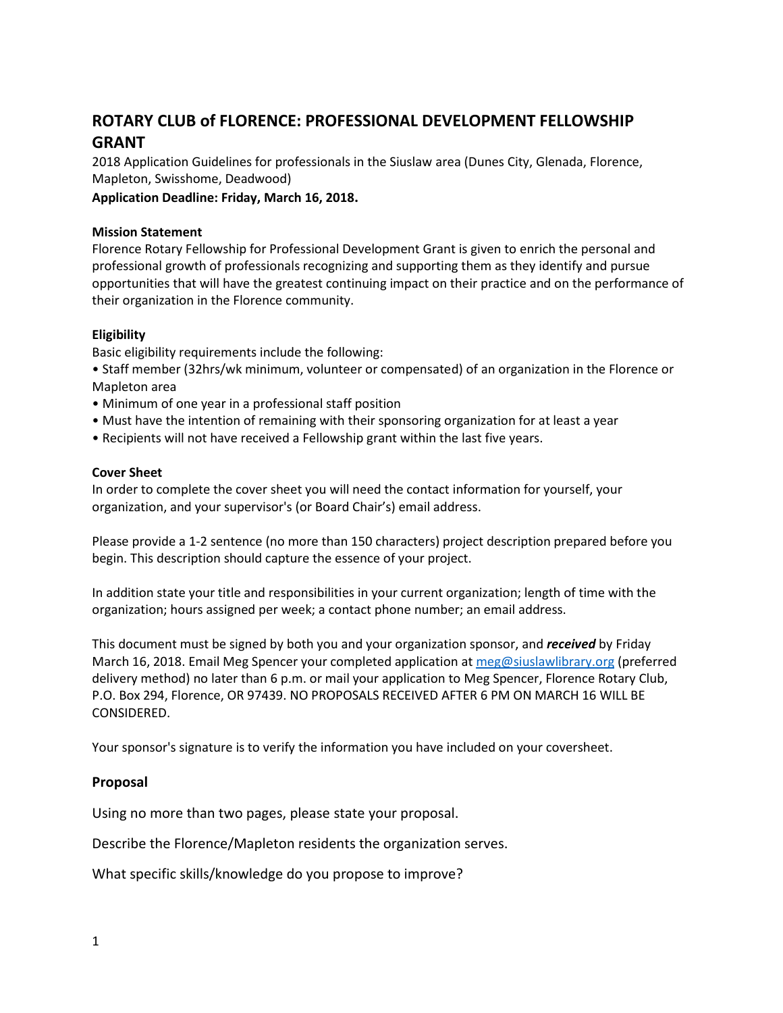# **ROTARY CLUB of FLORENCE: PROFESSIONAL DEVELOPMENT FELLOWSHIP GRANT**

2018 Application Guidelines for professionals in the Siuslaw area (Dunes City, Glenada, Florence, Mapleton, Swisshome, Deadwood)

**Application Deadline: Friday, March 16, 2018.**

## **Mission Statement**

Florence Rotary Fellowship for Professional Development Grant is given to enrich the personal and professional growth of professionals recognizing and supporting them as they identify and pursue opportunities that will have the greatest continuing impact on their practice and on the performance of their organization in the Florence community.

### **Eligibility**

Basic eligibility requirements include the following:

• Staff member (32hrs/wk minimum, volunteer or compensated) of an organization in the Florence or Mapleton area

- Minimum of one year in a professional staff position
- Must have the intention of remaining with their sponsoring organization for at least a year
- Recipients will not have received a Fellowship grant within the last five years.

### **Cover Sheet**

In order to complete the cover sheet you will need the contact information for yourself, your organization, and your supervisor's (or Board Chair's) email address.

Please provide a 1-2 sentence (no more than 150 characters) project description prepared before you begin. This description should capture the essence of your project.

In addition state your title and responsibilities in your current organization; length of time with the organization; hours assigned per week; a contact phone number; an email address.

This document must be signed by both you and your organization sponsor, and *received* by Friday March 16, 2018. Email Meg Spencer your completed application at [meg@siuslawlibrary.org](mailto:meg@siuslawlibrary.org) (preferred delivery method) no later than 6 p.m. or mail your application to Meg Spencer, Florence Rotary Club, P.O. Box 294, Florence, OR 97439. NO PROPOSALS RECEIVED AFTER 6 PM ON MARCH 16 WILL BE CONSIDERED.

Your sponsor's signature is to verify the information you have included on your coversheet.

# **Proposal**

Using no more than two pages, please state your proposal.

Describe the Florence/Mapleton residents the organization serves.

What specific skills/knowledge do you propose to improve?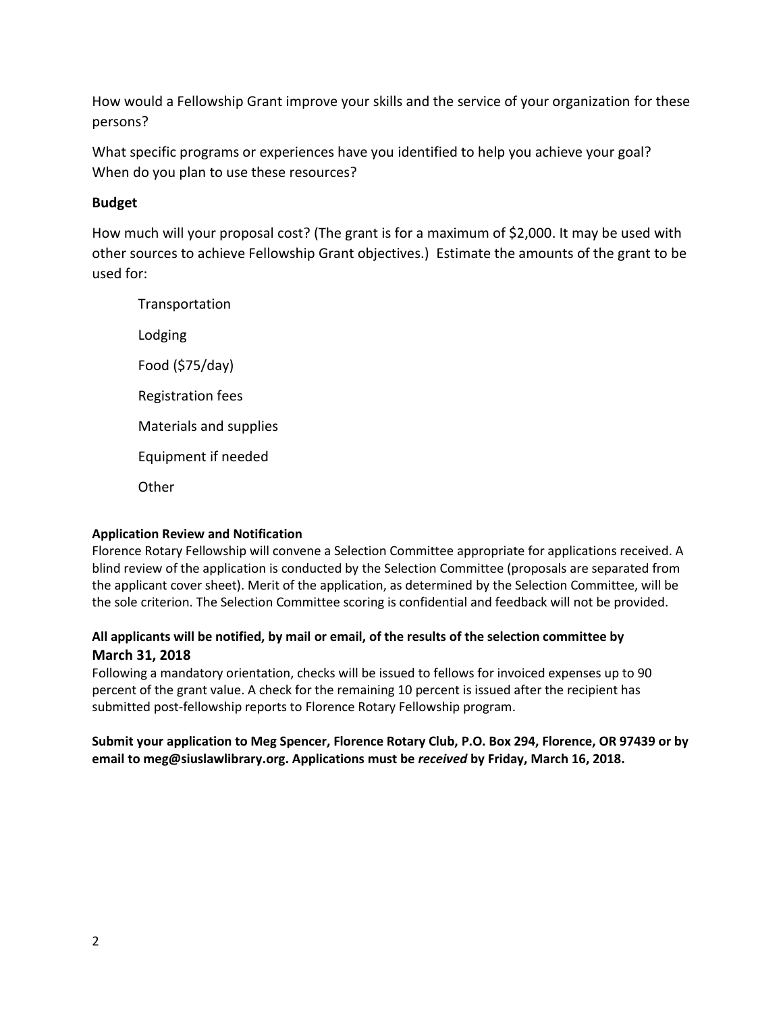How would a Fellowship Grant improve your skills and the service of your organization for these persons?

What specific programs or experiences have you identified to help you achieve your goal? When do you plan to use these resources?

# **Budget**

How much will your proposal cost? (The grant is for a maximum of \$2,000. It may be used with other sources to achieve Fellowship Grant objectives.) Estimate the amounts of the grant to be used for:

**Transportation** Lodging Food (\$75/day) Registration fees Materials and supplies Equipment if needed **Other** 

# **Application Review and Notification**

Florence Rotary Fellowship will convene a Selection Committee appropriate for applications received. A blind review of the application is conducted by the Selection Committee (proposals are separated from the applicant cover sheet). Merit of the application, as determined by the Selection Committee, will be the sole criterion. The Selection Committee scoring is confidential and feedback will not be provided.

# **All applicants will be notified, by mail or email, of the results of the selection committee by March 31, 2018**

Following a mandatory orientation, checks will be issued to fellows for invoiced expenses up to 90 percent of the grant value. A check for the remaining 10 percent is issued after the recipient has submitted post‐fellowship reports to Florence Rotary Fellowship program.

# **Submit your application to Meg Spencer, Florence Rotary Club, P.O. Box 294, Florence, OR 97439 or by email to meg@siuslawlibrary.org. Applications must be** *received* **by Friday, March 16, 2018.**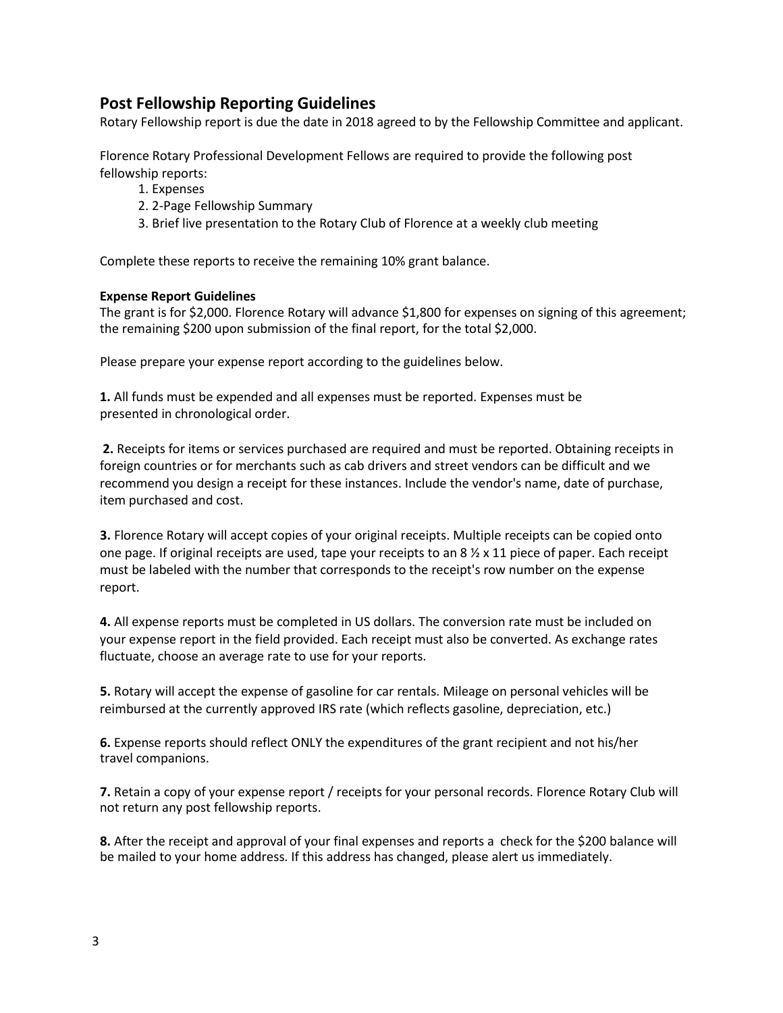# **Post Fellowship Reporting Guidelines**

Rotary Fellowship report is due the date in 2018 agreed to by the Fellowship Committee and applicant.

Florence Rotary Professional Development Fellows are required to provide the following post fellowship reports:

- 1. Expenses
- 2. 2‐Page Fellowship Summary
- 3. Brief live presentation to the Rotary Club of Florence at a weekly club meeting

Complete these reports to receive the remaining 10% grant balance.

#### **Expense Report Guidelines**

The grant is for \$2,000. Florence Rotary will advance \$1,800 for expenses on signing of this agreement; the remaining \$200 upon submission of the final report, for the total \$2,000.

Please prepare your expense report according to the guidelines below.

**1.** All funds must be expended and all expenses must be reported. Expenses must be presented in chronological order.

**2.** Receipts for items or services purchased are required and must be reported. Obtaining receipts in foreign countries or for merchants such as cab drivers and street vendors can be difficult and we recommend you design a receipt for these instances. Include the vendor's name, date of purchase, item purchased and cost.

**3.** Florence Rotary will accept copies of your original receipts. Multiple receipts can be copied onto one page. If original receipts are used, tape your receipts to an  $8 \frac{\cancel{2}}{x}$  x 11 piece of paper. Each receipt must be labeled with the number that corresponds to the receipt's row number on the expense report.

**4.** All expense reports must be completed in US dollars. The conversion rate must be included on your expense report in the field provided. Each receipt must also be converted. As exchange rates fluctuate, choose an average rate to use for your reports.

**5.** Rotary will accept the expense of gasoline for car rentals. Mileage on personal vehicles will be reimbursed at the currently approved IRS rate (which reflects gasoline, depreciation, etc.)

**6.** Expense reports should reflect ONLY the expenditures of the grant recipient and not his/her travel companions.

**7.** Retain a copy of your expense report / receipts for your personal records. Florence Rotary Club will not return any post fellowship reports.

**8.** After the receipt and approval of your final expenses and reports a check for the \$200 balance will be mailed to your home address. If this address has changed, please alert us immediately.